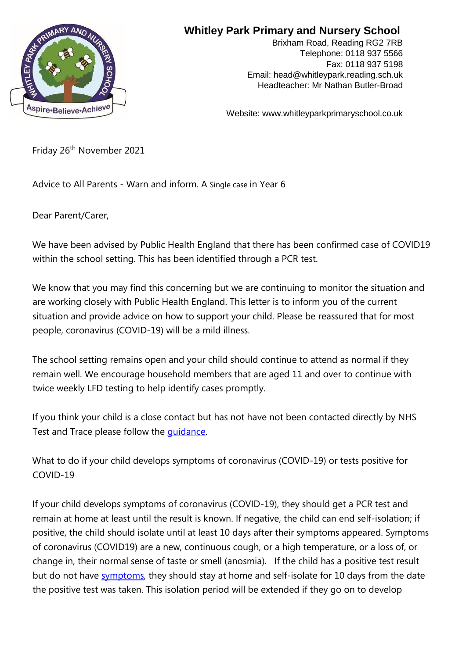

## **Whitley Park Primary and Nursery School**

Brixham Road, Reading RG2 7RB Telephone: 0118 937 5566 Fax: 0118 937 5198 Email: head@whitleypark.reading.sch.uk Headteacher: Mr Nathan Butler-Broad

Website: www.whitleyparkprimaryschool.co.uk

Friday 26<sup>th</sup> November 2021

Advice to All Parents - Warn and inform. A Single case in Year 6

Dear Parent/Carer,

We have been advised by Public Health England that there has been confirmed case of COVID19 within the school setting. This has been identified through a PCR test.

We know that you may find this concerning but we are continuing to monitor the situation and are working closely with Public Health England. This letter is to inform you of the current situation and provide advice on how to support your child. Please be reassured that for most people, coronavirus (COVID-19) will be a mild illness.

The school setting remains open and your child should continue to attend as normal if they remain well. We encourage household members that are aged 11 and over to continue with twice weekly LFD testing to help identify cases promptly.

If you think your child is a close contact but has not have not been contacted directly by NHS Test and Trace please follow the [guidance.](https://www.gov.uk/government/publications/guidance-for-contacts-of-people-with-possible-or-confirmed-coronavirus-covid-19-infection-who-do-not-live-with-the-person/guidance-for-contacts-of-people-with-possible-or-confirmed-coronavirus-covid-19-infection-who-do-not-live-with-the-person#i-think-i-have-had-contact-with-someone-who-has-tested-positive-for-covid-19-but-i-have-not-been-notified-and-advised-to-self-isolate-what-should-i-do) 

What to do if your child develops symptoms of coronavirus (COVID-19) or tests positive for COVID-19

If your child develops symptoms of coronavirus (COVID-19), they should get a PCR test and remain at home at least until the result is known. If negative, the child can end self-isolation; if positive, the child should isolate until at least 10 days after their symptoms appeared. Symptoms of coronavirus (COVID19) are a new, continuous cough, or a high temperature, or a loss of, or change in, their normal sense of taste or smell (anosmia). If the child has a positive test result but do not hav[e](https://www.gov.uk/government/publications/covid-19-stay-at-home-guidance/stay-at-home-guidance-for-households-with-possible-coronavirus-covid-19-infection#symptoms) [symptoms,](https://www.gov.uk/government/publications/covid-19-stay-at-home-guidance/stay-at-home-guidance-for-households-with-possible-coronavirus-covid-19-infection#symptoms) [the](https://www.gov.uk/government/publications/covid-19-stay-at-home-guidance/stay-at-home-guidance-for-households-with-possible-coronavirus-covid-19-infection#symptoms)y should stay at home and self-isolate for 10 days from the date the positive test was taken. This isolation period will be extended if they go on to develop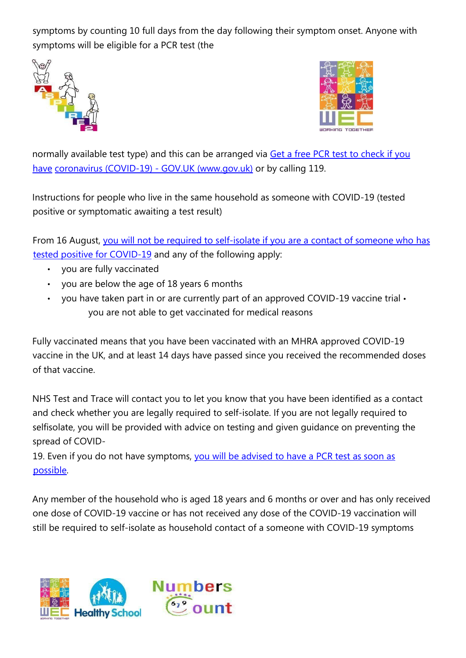symptoms by counting 10 full days from the day following their symptom onset. Anyone with symptoms will be eligible for a PCR test (the





normally available test type) and this can be arranged via [Get a free PCR test to check if you](https://www.gov.uk/get-coronavirus-test) [have](https://www.gov.uk/get-coronavirus-test) [coronavirus \(COVID-19\)](https://www.gov.uk/get-coronavirus-test) [-](https://www.gov.uk/get-coronavirus-test) [GOV.UK \(www.gov.uk\)](https://www.gov.uk/get-coronavirus-test) [or](https://www.gov.uk/get-coronavirus-test) by calling 119.

Instructions for people who live in the same household as someone with COVID-19 (tested positive or symptomatic awaiting a test result)

From 16 August, [you will not be required to self-isolate if you are a contact of someone who has](https://www.gov.uk/government/publications/covid-19-stay-at-home-guidance/stay-at-home-guidance-for-households-with-possible-coronavirus-covid-19-infection#exempt) [tested positive for COVID-19](https://www.gov.uk/government/publications/covid-19-stay-at-home-guidance/stay-at-home-guidance-for-households-with-possible-coronavirus-covid-19-infection#exempt) [and](https://www.gov.uk/government/publications/covid-19-stay-at-home-guidance/stay-at-home-guidance-for-households-with-possible-coronavirus-covid-19-infection#exempt) any of the following apply:

- you are fully vaccinated
- you are below the age of 18 years 6 months
- you have taken part in or are currently part of an approved COVID-19 vaccine trial you are not able to get vaccinated for medical reasons

Fully vaccinated means that you have been vaccinated with an MHRA approved COVID-19 vaccine in the UK, and at least 14 days have passed since you received the recommended doses of that vaccine.

NHS Test and Trace will contact you to let you know that you have been identified as a contact and check whether you are legally required to self-isolate. If you are not legally required to selfisolate, you will be provided with advice on testing and given guidance on preventing the spread of COVID-

19. Even if you do not have symptoms, [you will be advised to have](https://www.gov.uk/government/publications/covid-19-stay-at-home-guidance/stay-at-home-guidance-for-households-with-possible-coronavirus-covid-19-infection#PCR) [a](https://www.gov.uk/government/publications/covid-19-stay-at-home-guidance/stay-at-home-guidance-for-households-with-possible-coronavirus-covid-19-infection#PCR) [PCR](https://www.gov.uk/government/publications/covid-19-stay-at-home-guidance/stay-at-home-guidance-for-households-with-possible-coronavirus-covid-19-infection#PCR) [test as soon as](https://www.gov.uk/government/publications/covid-19-stay-at-home-guidance/stay-at-home-guidance-for-households-with-possible-coronavirus-covid-19-infection#PCR) [possible.](https://www.gov.uk/government/publications/covid-19-stay-at-home-guidance/stay-at-home-guidance-for-households-with-possible-coronavirus-covid-19-infection#PCR) 

Any member of the household who is aged 18 years and 6 months or over and has only received one dose of COVID-19 vaccine or has not received any dose of the COVID-19 vaccination will still be required to self-isolate as household contact of a someone with COVID-19 symptoms

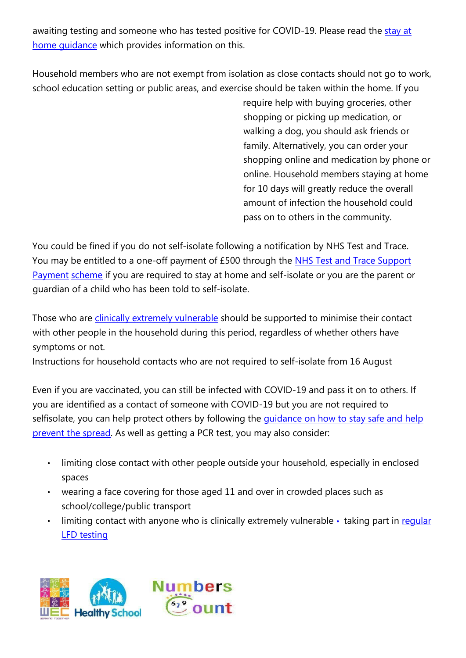awaiting testing and someone who has tested positive for COVID-19. Please read the [stay at](https://www.gov.uk/government/publications/covid-19-stay-at-home-guidance) home quidance [whic](https://www.gov.uk/government/publications/covid-19-stay-at-home-guidance)h provides information on this.

Household members who are not exempt from isolation as close contacts should not go to work, school education setting or public areas, and exercise should be taken within the home. If you

require help with buying groceries, other shopping or picking up medication, or walking a dog, you should ask friends or family. Alternatively, you can order your shopping online and medication by phone or online. Household members staying at home for 10 days will greatly reduce the overall amount of infection the household could pass on to others in the community.

You could be fined if you do not self-isolate following a notification by NHS Test and Trace. You may be entitled to a one-off payment of £500 through th[e](https://www.gov.uk/government/publications/test-and-trace-support-payment-scheme-claiming-financial-support/claiming-financial-support-under-the-test-and-trace-support-payment-scheme) [NHS Test and Trace Support](https://www.gov.uk/government/publications/test-and-trace-support-payment-scheme-claiming-financial-support/claiming-financial-support-under-the-test-and-trace-support-payment-scheme) [Payment](https://www.gov.uk/government/publications/test-and-trace-support-payment-scheme-claiming-financial-support/claiming-financial-support-under-the-test-and-trace-support-payment-scheme) [scheme](https://www.gov.uk/government/publications/test-and-trace-support-payment-scheme-claiming-financial-support/claiming-financial-support-under-the-test-and-trace-support-payment-scheme) [if](https://www.gov.uk/government/publications/test-and-trace-support-payment-scheme-claiming-financial-support/claiming-financial-support-under-the-test-and-trace-support-payment-scheme) [y](https://www.gov.uk/government/publications/test-and-trace-support-payment-scheme-claiming-financial-support/claiming-financial-support-under-the-test-and-trace-support-payment-scheme)ou are required to stay at home and self-isolate or you are the parent or guardian of a child who has been told to self-isolate.

Those who are *[clinically extremely vulnerable](https://www.gov.uk/government/publications/guidance-on-shielding-and-protecting-extremely-vulnerable-persons-from-covid-19/guidance-on-shielding-and-protecting-extremely-vulnerable-persons-from-covid-19)* [shou](https://www.gov.uk/government/publications/guidance-on-shielding-and-protecting-extremely-vulnerable-persons-from-covid-19/guidance-on-shielding-and-protecting-extremely-vulnerable-persons-from-covid-19)ld be supported to minimise their contact with other people in the household during this period, regardless of whether others have symptoms or not.

Instructions for household contacts who are not required to self-isolate from 16 August

Even if you are vaccinated, you can still be infected with COVID-19 and pass it on to others. If you are identified as a contact of someone with COVID-19 but you are not required to s[e](https://www.gov.uk/guidance/covid-19-coronavirus-restrictions-what-you-can-and-cannot-do#keeping-yourself-and-others-safe)lfisolate, you can help protect others by following the *quidance on how to stay safe and help* [prevent the spread.](https://www.gov.uk/guidance/covid-19-coronavirus-restrictions-what-you-can-and-cannot-do#keeping-yourself-and-others-safe) [As](https://www.gov.uk/guidance/covid-19-coronavirus-restrictions-what-you-can-and-cannot-do#keeping-yourself-and-others-safe) well as getting a PCR test, you may also consider:

- limiting close contact with other people outside your household, especially in enclosed spaces
- wearing a face covering for those aged 11 and over in crowded places such as school/college/public transport
- limit[in](https://www.gov.uk/order-coronavirus-rapid-lateral-flow-tests)g contact with anyone who is clinically extremely vulnerable  $\cdot$  taking part in [regular](https://www.gov.uk/order-coronavirus-rapid-lateral-flow-tests) [LFD](https://www.gov.uk/order-coronavirus-rapid-lateral-flow-tests) [testing](https://www.gov.uk/order-coronavirus-rapid-lateral-flow-tests)

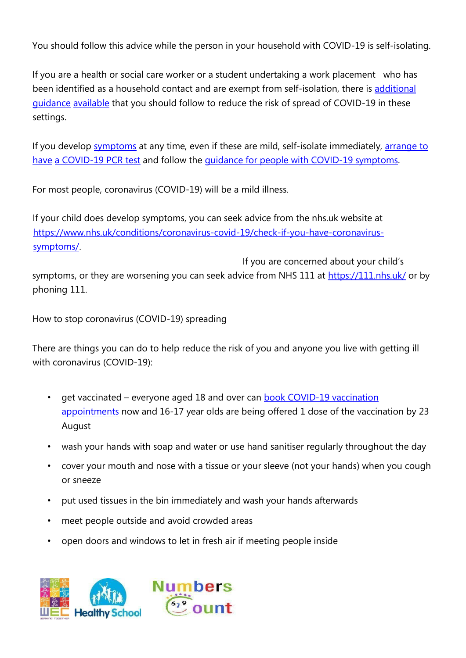You should follow this advice while the person in your household with COVID-19 is self-isolating.

If you are a health or social care worker or a student undertaking a work placement who has been identified as a household contact and are exempt from self-isolation, there i[s](https://www.gov.uk/government/publications/covid-19-management-of-exposed-healthcare-workers-and-patients-in-hospital-settings/covid-19-management-of-exposed-healthcare-workers-and-patients-in-hospital-settings) [additional](https://www.gov.uk/government/publications/covid-19-management-of-exposed-healthcare-workers-and-patients-in-hospital-settings/covid-19-management-of-exposed-healthcare-workers-and-patients-in-hospital-settings) [guidance](https://www.gov.uk/government/publications/covid-19-management-of-exposed-healthcare-workers-and-patients-in-hospital-settings/covid-19-management-of-exposed-healthcare-workers-and-patients-in-hospital-settings) [available](https://www.gov.uk/government/publications/covid-19-management-of-exposed-healthcare-workers-and-patients-in-hospital-settings/covid-19-management-of-exposed-healthcare-workers-and-patients-in-hospital-settings) [that](https://www.gov.uk/government/publications/covid-19-management-of-exposed-healthcare-workers-and-patients-in-hospital-settings/covid-19-management-of-exposed-healthcare-workers-and-patients-in-hospital-settings) you should follow to reduce the risk of spread of COVID-19 in these settings.

If you develop [symptoms](https://www.gov.uk/government/publications/covid-19-stay-at-home-guidance/stay-at-home-guidance-for-households-with-possible-coronavirus-covid-19-infection#symptoms) [at](https://www.gov.uk/government/publications/covid-19-stay-at-home-guidance/stay-at-home-guidance-for-households-with-possible-coronavirus-covid-19-infection#symptoms) any time, even if these are mild, self-isolate immediatel[y,](https://www.gov.uk/get-coronavirus-test) [arrange to](https://www.gov.uk/get-coronavirus-test) [have](https://www.gov.uk/get-coronavirus-test) [a COVID-19](https://www.gov.uk/get-coronavirus-test) [PCR](https://www.gov.uk/get-coronavirus-test) [test](https://www.gov.uk/get-coronavirus-test) [and](https://www.gov.uk/get-coronavirus-test) follow th[e](https://www.gov.uk/government/publications/covid-19-stay-at-home-guidance/stay-at-home-guidance-for-households-with-possible-coronavirus-covid-19-infection#SymptomsPositiveTest) [guidance for people with COVID-19 symptoms.](https://www.gov.uk/government/publications/covid-19-stay-at-home-guidance/stay-at-home-guidance-for-households-with-possible-coronavirus-covid-19-infection#SymptomsPositiveTest) 

For most people, coronavirus (COVID-19) will be a mild illness.

If your child does develop symptoms, you can seek advice from the nhs.uk website at [https://www.nhs.uk/conditions/coronavirus-covid-19/check-if-you-have-coronavirus](https://www.nhs.uk/conditions/coronavirus-covid-19/check-if-you-have-coronavirus-symptoms/)[symptoms/.](https://www.nhs.uk/conditions/coronavirus-covid-19/check-if-you-have-coronavirus-symptoms/) 

If you are concerned about your child's symptoms, or they are worsening you can seek advice from NHS 111 at<https://111.nhs.uk/> [or](https://111.nhs.uk/) by phoning 111.

How to stop coronavirus (COVID-19) spreading

There are things you can do to help reduce the risk of you and anyone you live with getting ill with coronavirus (COVID-19):

- get vaccinated everyone aged 18 and over can [book COVID-19 vaccination](https://www.nhs.uk/conditions/coronavirus-covid-19/coronavirus-vaccination/book-coronavirus-vaccination/) [appointments](https://www.nhs.uk/conditions/coronavirus-covid-19/coronavirus-vaccination/book-coronavirus-vaccination/) [now](https://www.nhs.uk/conditions/coronavirus-covid-19/coronavirus-vaccination/book-coronavirus-vaccination/) and 16-17 year olds are being offered 1 dose of the vaccination by 23 August
- wash your hands with soap and water or use hand sanitiser regularly throughout the day
- cover your mouth and nose with a tissue or your sleeve (not your hands) when you cough or sneeze
- put used tissues in the bin immediately and wash your hands afterwards
- meet people outside and avoid crowded areas
- open doors and windows to let in fresh air if meeting people inside